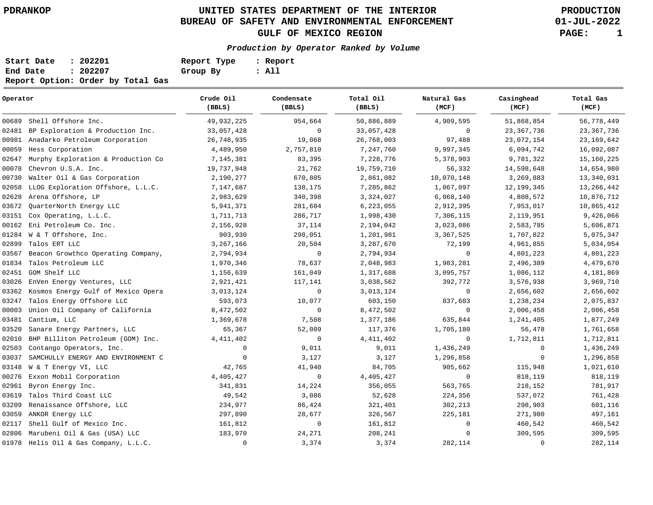# **UNITED STATES DEPARTMENT OF THE INTERIOR PDRANKOP PRODUCTION BUREAU OF SAFETY AND ENVIRONMENTAL ENFORCEMENT GULF OF MEXICO REGION PAGE: 1**

**01-JUL-2022**

## **Production by Operator Ranked by Volume**

| Start Date | : 202201                          | Report Type | : Report |
|------------|-----------------------------------|-------------|----------|
| End Date   | : 202207                          | Group By    | : All    |
|            | Report Option: Order by Total Gas |             |          |

| Operator |                                       | Crude Oil<br>(BBLS) | Condensate<br>(BBLS) | Total Oil<br>(BBLS) | Natural Gas<br>(MCF) | Casinghead<br>(MCF) | Total Gas<br>(MCF) |
|----------|---------------------------------------|---------------------|----------------------|---------------------|----------------------|---------------------|--------------------|
| 00689    | Shell Offshore Inc.                   | 49,932,225          | 954,664              | 50,886,889          | 4,909,595            | 51,868,854          | 56,778,449         |
| 02481    | BP Exploration & Production Inc.      | 33,057,428          | $\mathbf 0$          | 33,057,428          | $\mathbf 0$          | 23, 367, 736        | 23, 367, 736       |
| 00981    | Anadarko Petroleum Corporation        | 26,748,935          | 19,068               | 26,768,003          | 97,488               | 23,072,154          | 23, 169, 642       |
| 00059    | Hess Corporation                      | 4,489,950           | 2,757,810            | 7,247,760           | 9,997,345            | 6,094,742           | 16,092,087         |
| 02647    | Murphy Exploration & Production Co    | 7,145,381           | 83,395               | 7,228,776           | 5,378,903            | 9,781,322           | 15, 160, 225       |
| 00078    | Chevron U.S.A. Inc.                   | 19,737,948          | 21,762               | 19,759,710          | 56,332               | 14,598,648          | 14,654,980         |
| 00730    | Walter Oil & Gas Corporation          | 2,190,277           | 670,805              | 2,861,082           | 10,070,148           | 3,269,883           | 13,340,031         |
| 02058    | LLOG Exploration Offshore, L.L.C.     | 7,147,687           | 138,175              | 7,285,862           | 1,067,097            | 12,199,345          | 13,266,442         |
| 02628    | Arena Offshore, LP                    | 2,983,629           | 340,398              | 3,324,027           | 6,068,140            | 4,808,572           | 10,876,712         |
| 03672    | QuarterNorth Energy LLC               | 5,941,371           | 281,684              | 6,223,055           | 2,912,395            | 7,953,017           | 10,865,412         |
| 03151    | Cox Operating, L.L.C.                 | 1,711,713           | 286,717              | 1,998,430           | 7,306,115            | 2,119,951           | 9,426,066          |
| 00162    | Eni Petroleum Co. Inc.                | 2,156,928           | 37,114               | 2,194,042           | 3,023,086            | 2,583,785           | 5,606,871          |
| 01284    | W & T Offshore, Inc.                  | 903,930             | 298,051              | 1,201,981           | 3,367,525            | 1,707,822           | 5,075,347          |
| 02899    | Talos ERT LLC                         | 3,267,166           | 20,504               | 3,287,670           | 72,199               | 4,961,855           | 5,034,054          |
| 03567    | Beacon Growthco Operating Company,    | 2,794,934           | $\mathbf 0$          | 2,794,934           | $\mathbf 0$          | 4,801,223           | 4,801,223          |
| 01834    | Talos Petroleum LLC                   | 1,970,346           | 78,637               | 2,048,983           | 1,983,281            | 2,496,389           | 4,479,670          |
| 02451    | GOM Shelf LLC                         | 1,156,639           | 161,049              | 1,317,688           | 3,095,757            | 1,086,112           | 4,181,869          |
| 03026    | EnVen Energy Ventures, LLC            | 2,921,421           | 117,141              | 3,038,562           | 392,772              | 3,576,938           | 3,969,710          |
| 03362    | Kosmos Energy Gulf of Mexico Opera    | 3,013,124           | 0                    | 3,013,124           | $\mathbf 0$          | 2,656,602           | 2,656,602          |
| 03247    | Talos Energy Offshore LLC             | 593,073             | 10,077               | 603,150             | 837,603              | 1,238,234           | 2,075,837          |
| 00003    | Union Oil Company of California       | 8,472,502           | $\mathbf 0$          | 8,472,502           | $\mathbf 0$          | 2,006,458           | 2,006,458          |
| 03481    | Cantium, LLC                          | 1,369,678           | 7,508                | 1,377,186           | 635,844              | 1,241,405           | 1,877,249          |
| 03520    | Sanare Energy Partners, LLC           | 65,367              | 52,009               | 117,376             | 1,705,180            | 56,478              | 1,761,658          |
| 02010    | BHP Billiton Petroleum (GOM) Inc.     | 4, 411, 402         | $\mathbf 0$          | 4, 411, 402         | $\mathbf 0$          | 1,712,811           | 1,712,811          |
| 02503    | Contango Operators, Inc.              | $\mathbf 0$         | 9,011                | 9,011               | 1,436,249            | $\mathbf 0$         | 1,436,249          |
| 03037    | SAMCHULLY ENERGY AND ENVIRONMENT C    | $\mathbf 0$         | 3,127                | 3,127               | 1,296,858            | $\mathbf 0$         | 1,296,858          |
| 03148    | W & T Energy VI, LLC                  | 42,765              | 41,940               | 84,705              | 905,662              | 115,948             | 1,021,610          |
| 00276    | Exxon Mobil Corporation               | 4,405,427           | $\mathbf 0$          | 4,405,427           | $\mathbf 0$          | 818,119             | 818,119            |
| 02961    | Byron Energy Inc.                     | 341,831             | 14,224               | 356,055             | 563,765              | 218,152             | 781,917            |
| 03619    | Talos Third Coast LLC                 | 49,542              | 3,086                | 52,628              | 224,356              | 537,072             | 761,428            |
| 03209    | Renaissance Offshore, LLC             | 234,977             | 86,424               | 321,401             | 302,213              | 298,903             | 601,116            |
| 03059    | ANKOR Energy LLC                      | 297,890             | 28,677               | 326,567             | 225,181              | 271,980             | 497,161            |
| 02117    | Shell Gulf of Mexico Inc.             | 161,812             | $\mathbf 0$          | 161,812             | 0                    | 460,542             | 460,542            |
| 02806    | Marubeni Oil & Gas (USA) LLC          | 183,970             | 24,271               | 208,241             | $\mathbf 0$          | 309,595             | 309,595            |
|          | 01978 Helis Oil & Gas Company, L.L.C. | $\mathbf 0$         | 3,374                | 3,374               | 282,114              | $\mathbf 0$         | 282,114            |